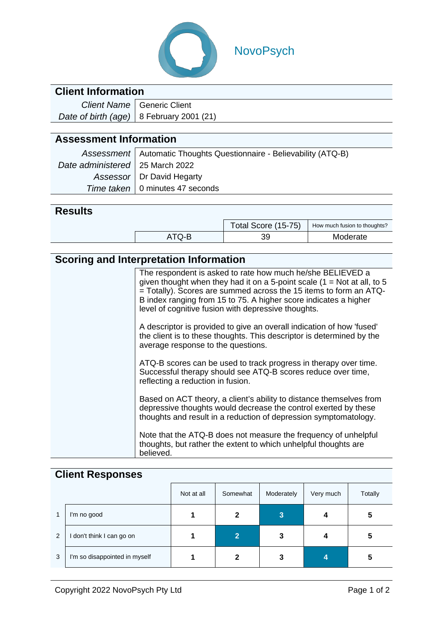

# NovoPsych

### **Client Information**

| Client Name   Generic Client               |
|--------------------------------------------|
| Date of birth (age)   8 February 2001 (21) |

## **Assessment Information**

|                                   | Assessment   Automatic Thoughts Questionnaire - Believability (ATQ-B) |
|-----------------------------------|-----------------------------------------------------------------------|
| Date administered   25 March 2022 |                                                                       |
|                                   | Assessor   Dr David Hegarty                                           |
|                                   | Time taken   0 minutes 47 seconds                                     |

#### **Results**

|    |       | Total Score (15-75) | How much fusion to thoughts? |
|----|-------|---------------------|------------------------------|
| აყ | .TQ-B | ററ                  | Moderate                     |

## **Scoring and Interpretation Information**

| The respondent is asked to rate how much he/she BELIEVED a<br>given thought when they had it on a 5-point scale $(1 = Not at all, to 5)$<br>$=$ Totally). Scores are summed across the 15 items to form an ATQ-<br>B index ranging from 15 to 75. A higher score indicates a higher<br>level of cognitive fusion with depressive thoughts. |
|--------------------------------------------------------------------------------------------------------------------------------------------------------------------------------------------------------------------------------------------------------------------------------------------------------------------------------------------|
| A descriptor is provided to give an overall indication of how 'fused'<br>the client is to these thoughts. This descriptor is determined by the<br>average response to the questions.                                                                                                                                                       |
| ATQ-B scores can be used to track progress in therapy over time.<br>Successful therapy should see ATQ-B scores reduce over time,<br>reflecting a reduction in fusion.                                                                                                                                                                      |
| Based on ACT theory, a client's ability to distance themselves from<br>depressive thoughts would decrease the control exerted by these<br>thoughts and result in a reduction of depression symptomatology.                                                                                                                                 |
| Note that the ATQ-B does not measure the frequency of unhelpful<br>thoughts, but rather the extent to which unhelpful thoughts are<br>believed.                                                                                                                                                                                            |

#### **Client Responses**

|                |                               | Not at all | Somewhat       | Moderately | Very much | <b>Totally</b> |
|----------------|-------------------------------|------------|----------------|------------|-----------|----------------|
| 1              | I'm no good                   |            | 2              | 3          |           | 5              |
| $\overline{2}$ | I don't think I can go on     |            | $\overline{2}$ | 3          |           | 5              |
| 3              | I'm so disappointed in myself |            | 2              | 3          | 4         | 5              |